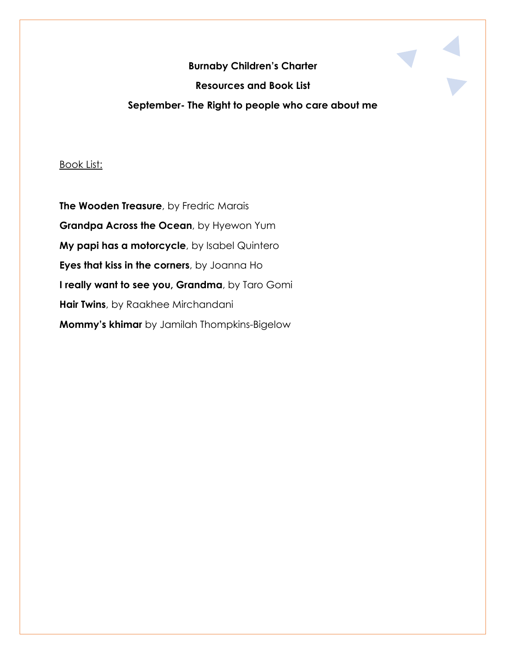#### **Burnaby Children's Charter**

#### **Resources and Book List**

### **September- The Right to people who care about me**

### Book List:

**The Wooden Treasure**, by Fredric Marais **Grandpa Across the Ocean**, by Hyewon Yum **My papi has a motorcycle**, by Isabel Quintero **Eyes that kiss in the corners**, by Joanna Ho **I really want to see you, Grandma**, by Taro Gomi **Hair Twins**, by Raakhee Mirchandani **Mommy's khimar** by Jamilah Thompkins-Bigelow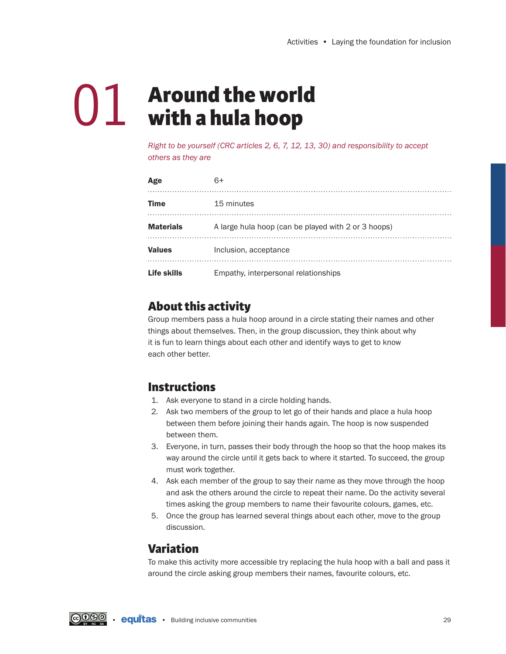# **Around the world with a hula hoop 01**

Right to be yourself (CRC articles 2, 6, 7, 12, 13, 30) and responsibility to accept others as they are

| Age              | 6+                                                  |
|------------------|-----------------------------------------------------|
| <b>Time</b>      | 15 minutes                                          |
| <b>Materials</b> | A large hula hoop (can be played with 2 or 3 hoops) |
| <b>Values</b>    | Inclusion, acceptance                               |
| Life skills      | Empathy, interpersonal relationships                |

# **About this activity**

Group members pass a hula hoop around in a circle stating their names and other things about themselves. Then, in the group discussion, they think about why it is fun to learn things about each other and identify ways to get to know each other better.

# **Instructions**

- 1. Ask everyone to stand in a circle holding hands.
- 2. Ask two members of the group to let go of their hands and place a hula hoop between them before joining their hands again. The hoop is now suspended between them.
- 3. Everyone, in turn, passes their body through the hoop so that the hoop makes its way around the circle until it gets back to where it started. To succeed, the group must work together.
- 4. Ask each member of the group to say their name as they move through the hoop and ask the others around the circle to repeat their name. Do the activity several times asking the group members to name their favourite colours, games, etc.
- 5. Once the group has learned several things about each other, move to the group discussion.

# **Variation**

To make this activity more accessible try replacing the hula hoop with a ball and pass it around the circle asking group members their names, favourite colours, etc.